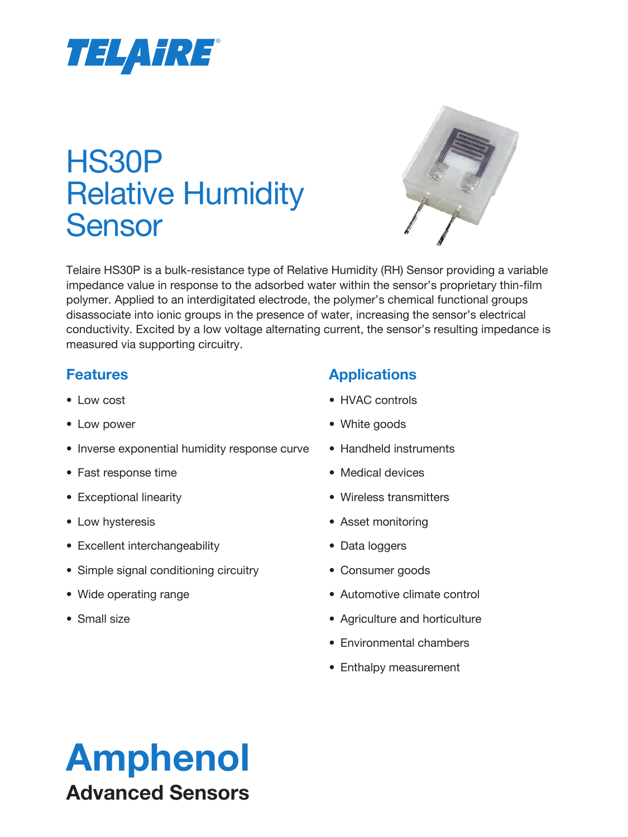

# HS30P Relative Humidity Sensor



Telaire HS30P is a bulk-resistance type of Relative Humidity (RH) Sensor providing a variable impedance value in response to the adsorbed water within the sensor's proprietary thin-film polymer. Applied to an interdigitated electrode, the polymer's chemical functional groups disassociate into ionic groups in the presence of water, increasing the sensor's electrical conductivity. Excited by a low voltage alternating current, the sensor's resulting impedance is measured via supporting circuitry.

### **Features**

- Low cost
- Low power
- Inverse exponential humidity response curve
- Fast response time
- Exceptional linearity
- Low hysteresis
- Excellent interchangeability
- Simple signal conditioning circuitry
- Wide operating range
- Small size

### **Applications**

- HVAC controls
- White goods
- Handheld instruments
- Medical devices
- Wireless transmitters
- Asset monitoring
- Data loggers
- Consumer goods
- Automotive climate control
- Agriculture and horticulture
- Environmental chambers
- Enthalpy measurement

# Amphenol Advanced Sensors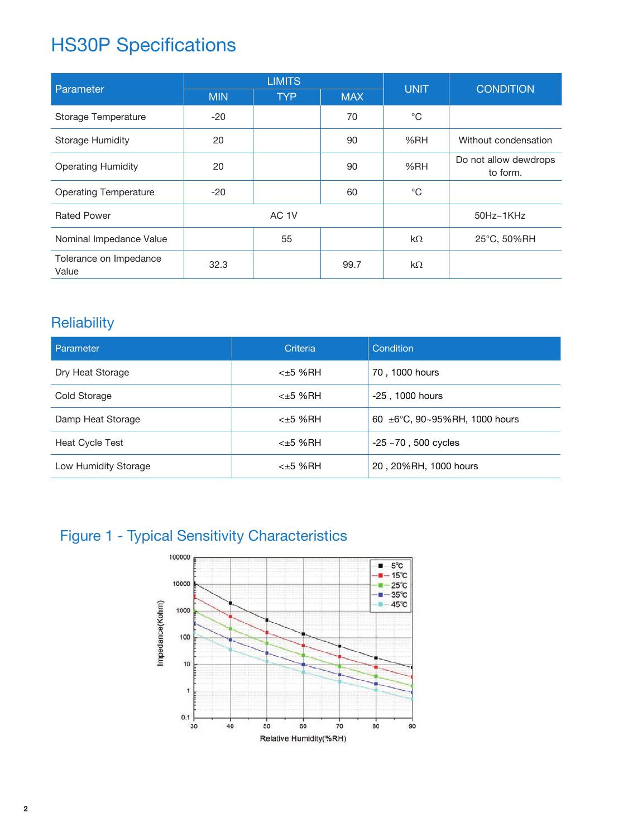## HS30P Specifications

| Parameter                       | <b>LIMITS</b> |                  |            | <b>UNIT</b>  | <b>CONDITION</b>                  |
|---------------------------------|---------------|------------------|------------|--------------|-----------------------------------|
|                                 | <b>MIN</b>    | <b>TYP</b>       | <b>MAX</b> |              |                                   |
| Storage Temperature             | $-20$         |                  | 70         | $^{\circ}$ C |                                   |
| <b>Storage Humidity</b>         | 20            |                  | 90         | %RH          | Without condensation              |
| <b>Operating Humidity</b>       | 20            |                  | 90         | %RH          | Do not allow dewdrops<br>to form. |
| <b>Operating Temperature</b>    | $-20$         |                  | 60         | $^{\circ}$ C |                                   |
| <b>Rated Power</b>              |               | AC <sub>1V</sub> |            |              | $50$ Hz $\sim$ 1KHz               |
| Nominal Impedance Value         |               | 55               |            | $k\Omega$    | 25°C, 50%RH                       |
| Tolerance on Impedance<br>Value | 32.3          |                  | 99.7       | $k\Omega$    |                                   |

### **Reliability**

| <b>Parameter</b>     | Criteria | Condition                          |
|----------------------|----------|------------------------------------|
| Dry Heat Storage     | <±5 %RH  | 70, 1000 hours                     |
| Cold Storage         | $±5$ %RH | -25, 1000 hours                    |
| Damp Heat Storage    | <±5 %RH  | 60 $\pm$ 6°C, 90~95%RH, 1000 hours |
| Heat Cycle Test      | <±5 %RH  | $-25$ $\sim$ 70, 500 cycles        |
| Low Humidity Storage | <±5 %RH  | 20, 20%RH, 1000 hours              |

## Figure 1 - Typical Sensitivity Characteristics

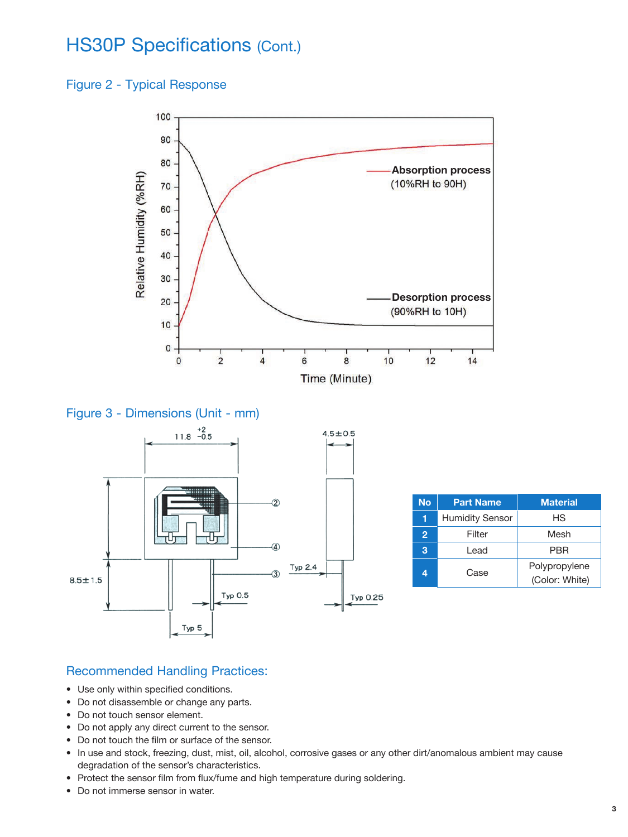## HS30P Specifications (Cont.)

#### Figure 2 - Typical Response







| <b>No</b> | <b>Part Name</b>       | <b>Material</b>                 |  |  |
|-----------|------------------------|---------------------------------|--|--|
| 1         | <b>Humidity Sensor</b> | НS                              |  |  |
| 2         | Filter                 | Mesh                            |  |  |
| 3         | l ead                  | PBR                             |  |  |
|           | Case                   | Polypropylene<br>(Color: White) |  |  |

#### Recommended Handling Practices:

- Use only within specified conditions.
- Do not disassemble or change any parts.
- Do not touch sensor element.
- Do not apply any direct current to the sensor.
- Do not touch the film or surface of the sensor.
- In use and stock, freezing, dust, mist, oil, alcohol, corrosive gases or any other dirt/anomalous ambient may cause degradation of the sensor's characteristics.
- Protect the sensor film from flux/fume and high temperature during soldering.
- Do not immerse sensor in water.